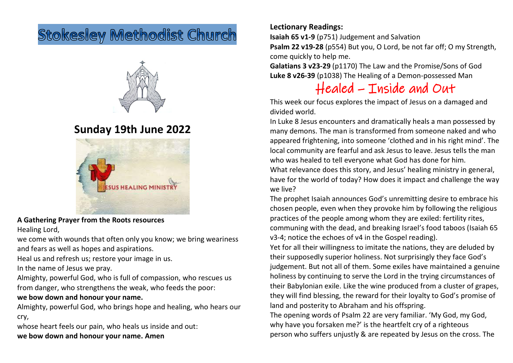# **Stokesley Methodist Church**



## **Sunday 19th June 2022**



**A Gathering Prayer from the Roots resources** Healing Lord,

we come with wounds that often only you know; we bring weariness and fears as well as hopes and aspirations.

Heal us and refresh us; restore your image in us.

In the name of Jesus we pray.

Almighty, powerful God, who is full of compassion, who rescues us from danger, who strengthens the weak, who feeds the poor:

### **we bow down and honour your name.**

Almighty, powerful God, who brings hope and healing, who hears our cry,

whose heart feels our pain, who heals us inside and out: **we bow down and honour your name. Amen**

### **Lectionary Readings:**

**Isaiah 65 v1-9** (p751) Judgement and Salvation

**Psalm 22 v19-28** (p554) But you, O Lord, be not far off; O my Strength, come quickly to help me.

**Galatians 3 v23-29** (p1170) The Law and the Promise/Sons of God **Luke 8 v26-39** (p1038) The Healing of a Demon-possessed Man

## Healed – Inside and Out

This week our focus explores the impact of Jesus on a damaged and divided world.

In Luke 8 Jesus encounters and dramatically heals a man possessed by many demons. The man is transformed from someone naked and who appeared frightening, into someone 'clothed and in his right mind'. The local community are fearful and ask Jesus to leave. Jesus tells the man who was healed to tell everyone what God has done for him. What relevance does this story, and Jesus' healing ministry in general, have for the world of today? How does it impact and challenge the way

we live?

The prophet Isaiah announces God's unremitting desire to embrace his chosen people, even when they provoke him by following the religious practices of the people among whom they are exiled: fertility rites, communing with the dead, and breaking Israel's food taboos (Isaiah 65 v3-4; notice the echoes of v4 in the Gospel reading).

Yet for all their willingness to imitate the nations, they are deluded by their supposedly superior holiness. Not surprisingly they face God's judgement. But not all of them. Some exiles have maintained a genuine holiness by continuing to serve the Lord in the trying circumstances of their Babylonian exile. Like the wine produced from a cluster of grapes, they will find blessing, the reward for their loyalty to God's promise of land and posterity to Abraham and his offspring.

The opening words of Psalm 22 are very familiar. 'My God, my God, why have you forsaken me?' is the heartfelt cry of a righteous person who suffers unjustly & are repeated by Jesus on the cross. The